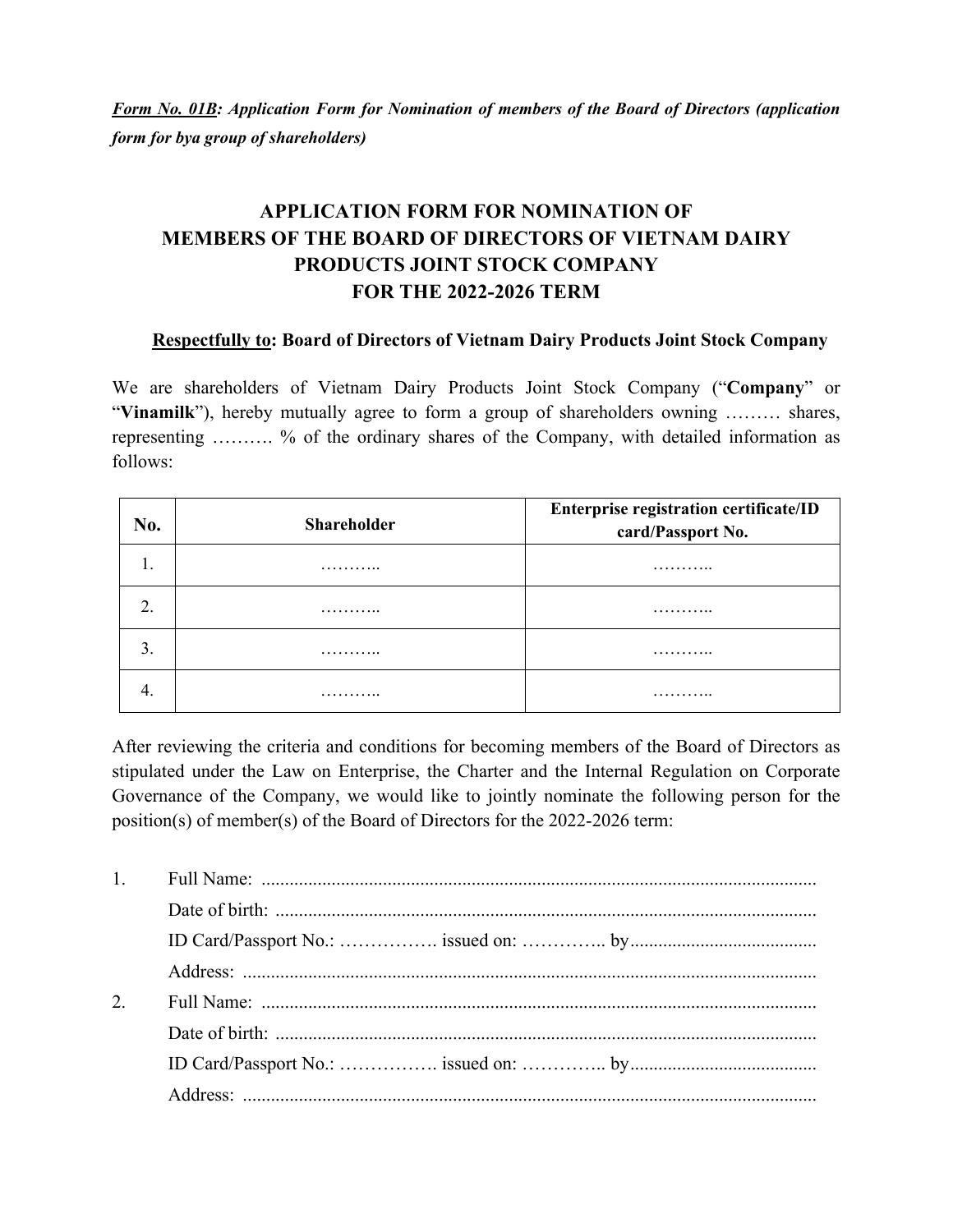*Form No. 01B: Application Form for Nomination of members of the Board of Directors (application form for bya group of shareholders)* 

## **APPLICATION FORM FOR NOMINATION OF MEMBERS OF THE BOARD OF DIRECTORS OF VIETNAM DAIRY PRODUCTS JOINT STOCK COMPANY FOR THE 2022-2026 TERM**

## **Respectfully to: Board of Directors of Vietnam Dairy Products Joint Stock Company**

We are shareholders of Vietnam Dairy Products Joint Stock Company ("**Company**" or "**Vinamilk**"), hereby mutually agree to form a group of shareholders owning ……… shares, representing ………. % of the ordinary shares of the Company, with detailed information as follows:

| No. | <b>Shareholder</b> | Enterprise registration certificate/ID<br>card/Passport No. |
|-----|--------------------|-------------------------------------------------------------|
|     | .                  | .                                                           |
|     | .                  | .                                                           |
| 3.  | .                  | .                                                           |
|     | .                  | .                                                           |

After reviewing the criteria and conditions for becoming members of the Board of Directors as stipulated under the Law on Enterprise, the Charter and the Internal Regulation on Corporate Governance of the Company, we would like to jointly nominate the following person for the position(s) of member(s) of the Board of Directors for the 2022-2026 term:

| 2. |  |
|----|--|
|    |  |
|    |  |
|    |  |